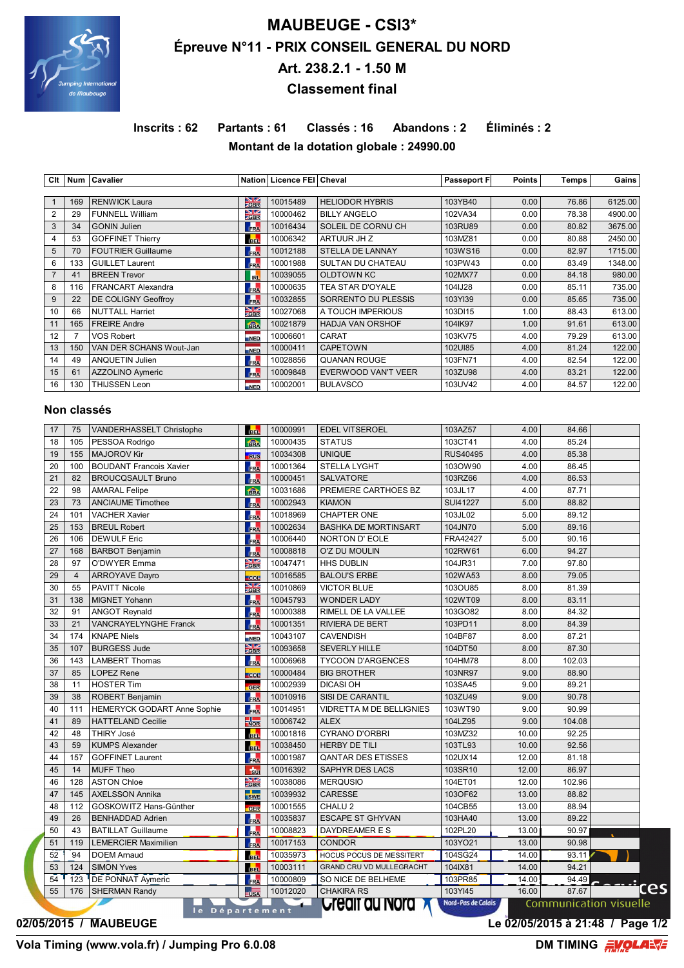

# **MAUBEUGE - CSI3\* Épreuve N°11 - PRIX CONSEIL GENERAL DU NORD Art. 238.2.1 - 1.50 M Classement final**

**Inscrits : 62 Partants : 61 Classés : 16 Abandons : 2 Éliminés : 2 Montant de la dotation globale : 24990.00**

| Clt            |     | Num   Cavalier            |                                 | Nation   Licence FEI   Cheval |                         | <b>Passeport F</b> | <b>Points</b> | Temps | Gains   |
|----------------|-----|---------------------------|---------------------------------|-------------------------------|-------------------------|--------------------|---------------|-------|---------|
|                |     |                           |                                 |                               |                         |                    |               |       |         |
|                | 169 | <b>RENWICK Laura</b>      | $\frac{N}{\sqrt{3}}$            | 10015489                      | <b>HELIODOR HYBRIS</b>  | 103YB40            | 0.00          | 76.86 | 6125.00 |
| $\overline{2}$ | 29  | <b>FUNNELL William</b>    | $\frac{N}{2}$                   | 10000462                      | <b>BILLY ANGELO</b>     | 102VA34            | 0.00          | 78.38 | 4900.00 |
| 3              | 34  | <b>GONIN Julien</b>       | FRA                             | 10016434                      | SOLEIL DE CORNU CH      | 103RU89            | 0.00          | 80.82 | 3675.00 |
| 4              | 53  | <b>GOFFINET Thierry</b>   | <b>BEL</b>                      | 10006342                      | ARTUUR JH Z             | 103MZ81            | 0.00          | 80.88 | 2450.00 |
| 5              | 70  | <b>FOUTRIER Guillaume</b> | FRA                             | 10012188                      | <b>STELLA DE LANNAY</b> | 103WS16            | 0.00          | 82.97 | 1715.00 |
| 6              | 133 | <b>GUILLET Laurent</b>    | FRA                             | 10001988                      | SULTAN DU CHATEAU       | 103PW43            | 0.00          | 83.49 | 1348.00 |
|                | 41  | <b>BREEN Trevor</b>       | <b>RL</b>                       | 10039055                      | <b>OLDTOWN KC</b>       | 102MX77            | 0.00          | 84.18 | 980.00  |
| 8              | 116 | <b>FRANCART Alexandra</b> | FRA                             | 10000635                      | TEA STAR D'OYALE        | 104IJ28            | 0.00          | 85.11 | 735.00  |
| 9              | 22  | DE COLIGNY Geoffroy       | FRA                             | 10032855                      | SORRENTO DU PLESSIS     | 103YI39            | 0.00          | 85.65 | 735.00  |
| 10             | 66  | <b>NUTTALL Harriet</b>    | $\frac{\sum  Z }{2 \text{GBR}}$ | 10027068                      | A TOUCH IMPERIOUS       | 103DI15            | 1.00          | 88.43 | 613.00  |
| 11             | 165 | <b>FREIRE Andre</b>       | fina                            | 10021879                      | <b>HADJA VAN ORSHOF</b> | 104IK97            | 1.00          | 91.61 | 613.00  |
| 12             |     | <b>VOS Robert</b>         | <b>NED</b>                      | 10006601                      | <b>CARAT</b>            | 103KV75            | 4.00          | 79.29 | 613.00  |
| 13             | 150 | VAN DER SCHANS Wout-Jan   | <b>NED</b>                      | 10000411                      | <b>CAPETOWN</b>         | 102UI85            | 4.00          | 81.24 | 122.00  |
| 14             | 49  | <b>ANQUETIN Julien</b>    | FRA                             | 10028856                      | <b>QUANAN ROUGE</b>     | 103FN71            | 4.00          | 82.54 | 122.00  |
| 15             | 61  | AZZOLINO Aymeric          | FRA                             | 10009848                      | EVERWOOD VAN'T VEER     | 103ZU98            | 4.00          | 83.21 | 122.00  |
| 16             | 130 | <b>THIJSSEN Leon</b>      | NED                             | 10002001                      | <b>BULAVSCO</b>         | 103UV42            | 4.00          | 84.57 | 122.00  |

### **Non classés**

| 17 | 75             | VANDERHASSELT Christophe       | <b>BEL</b>                    | 10000991 | <b>EDEL VITSEROEL</b>           | 103AZ57            | 4.00  | 84.66  |                               |
|----|----------------|--------------------------------|-------------------------------|----------|---------------------------------|--------------------|-------|--------|-------------------------------|
| 18 | 105            | PESSOA Rodrigo                 | fin                           | 10000435 | <b>STATUS</b>                   | 103CT41            | 4.00  | 85.24  |                               |
| 19 | 155            | <b>MAJOROV Kir</b>             | <b>RUS</b>                    | 10034308 | <b>UNIQUE</b>                   | <b>RUS40495</b>    | 4.00  | 85.38  |                               |
| 20 | 100            | <b>BOUDANT Francois Xavier</b> | <b>FRA</b>                    | 10001364 | <b>STELLA LYGHT</b>             | 103OW90            | 4.00  | 86.45  |                               |
| 21 | 82             | <b>BROUCQSAULT Bruno</b>       | FRA                           | 10000451 | <b>SALVATORE</b>                | 103RZ66            | 4.00  | 86.53  |                               |
| 22 | 98             | <b>AMARAL Felipe</b>           | fik                           | 10031686 | PREMIERE CARTHOES BZ            | 103JL17            | 4.00  | 87.71  |                               |
| 23 | 73             | <b>ANCIAUME Timothee</b>       | FRA                           | 10002943 | <b>KIAMON</b>                   | SUI41227           | 5.00  | 88.82  |                               |
| 24 | 101            | <b>VACHER Xavier</b>           | FRA                           | 10018969 | <b>CHAPTER ONE</b>              | 103JL02            | 5.00  | 89.12  |                               |
| 25 | 153            | <b>BREUL Robert</b>            | FRA                           | 10002634 | <b>BASHKA DE MORTINSART</b>     | 104JN70            | 5.00  | 89.16  |                               |
| 26 | 106            | <b>DEWULF Eric</b>             | FRA                           | 10006440 | NORTON D'EOLE                   | FRA42427           | 5.00  | 90.16  |                               |
| 27 | 168            | <b>BARBOT Benjamin</b>         | FRA                           | 10008818 | <b>O'Z DU MOULIN</b>            | 102RW61            | 6.00  | 94.27  |                               |
| 28 | 97             | O'DWYER Emma                   | $\frac{N}{GBR}$               | 10047471 | <b>HHS DUBLIN</b>               | 104JR31            | 7.00  | 97.80  |                               |
| 29 | $\overline{4}$ | <b>ARROYAVE Dayro</b>          | <b>COL</b>                    | 10016585 | <b>BALOU'S ERBE</b>             | 102WA53            | 8.00  | 79.05  |                               |
| 30 | 55             | <b>PAVITT Nicole</b>           | $\frac{N}{2}$ GBR             | 10010869 | <b>VICTOR BLUE</b>              | 103OU85            | 8.00  | 81.39  |                               |
| 31 | 138            | MIGNET Yohann                  | FRA                           | 10045793 | <b>WONDER LADY</b>              | 102WT09            | 8.00  | 83.11  |                               |
| 32 | 91             | <b>ANGOT Reynald</b>           | FRA                           | 10000388 | RIMELL DE LA VALLEE             | 103GO82            | 8.00  | 84.32  |                               |
| 33 | 21             | <b>VANCRAYELYNGHE Franck</b>   | FRA                           | 10001351 | <b>RIVIERA DE BERT</b>          | 103PD11            | 8.00  | 84.39  |                               |
| 34 | 174            | <b>KNAPE Niels</b>             | NED                           | 10043107 | <b>CAVENDISH</b>                | 104BF87            | 8.00  | 87.21  |                               |
| 35 | 107            | <b>BURGESS Jude</b>            | $\frac{\text{N}}{\text{GBR}}$ | 10093658 | <b>SEVERLY HILLE</b>            | 104DT50            | 8.00  | 87.30  |                               |
| 36 | 143            | <b>LAMBERT Thomas</b>          | <b>FRA</b>                    | 10006968 | <b>TYCOON D'ARGENCES</b>        | 104HM78            | 8.00  | 102.03 |                               |
| 37 | 85             | <b>LOPEZ Rene</b>              | $-$ COL                       | 10000484 | <b>BIG BROTHER</b>              | 103NR97            | 9.00  | 88.90  |                               |
| 38 | 11             | <b>HOSTER Tim</b>              | GER                           | 10002939 | <b>DICASI OH</b>                | 103SA45            | 9.00  | 89.21  |                               |
| 39 | 38             | ROBERT Benjamin                | FRA                           | 10010916 | SISI DE CARANTIL                | 103ZU49            | 9.00  | 90.78  |                               |
| 40 | 111            | HEMERYCK GODART Anne Sophie    | FRA                           | 10014951 | <b>VIDRETTA M DE BELLIGNIES</b> | 103WT90            | 9.00  | 90.99  |                               |
| 41 | 89             | <b>HATTELAND Cecilie</b>       | $\frac{1}{NOR}$               | 10006742 | <b>ALEX</b>                     | 104LZ95            | 9.00  | 104.08 |                               |
| 42 | 48             | <b>THIRY José</b>              | <b>BEL</b>                    | 10001816 | <b>CYRANO D'ORBRI</b>           | 103MZ32            | 10.00 | 92.25  |                               |
| 43 | 59             | <b>KUMPS Alexander</b>         | <b>BEL</b>                    | 10038450 | HERBY DE TILI                   | 103TL93            | 10.00 | 92.56  |                               |
| 44 | 157            | <b>GOFFINET Laurent</b>        | FRA                           | 10001987 | <b>QANTAR DES ETISSES</b>       | 102UX14            | 12.00 | 81.18  |                               |
| 45 | 14             | <b>MUFF Theo</b>               | $\frac{1}{30}$                | 10016392 | SAPHYR DES LACS                 | 103SR10            | 12.00 | 86.97  |                               |
| 46 | 128            | <b>ASTON Chloe</b>             | $\frac{N}{2}$ GBR             | 10038086 | <b>MERQUSIO</b>                 | 104ET01            | 12.00 | 102.96 |                               |
| 47 | 145            | <b>AXELSSON Annika</b>         | <b>SWE</b>                    | 10039932 | <b>CARESSE</b>                  | 103OF62            | 13.00 | 88.82  |                               |
| 48 | 112            | GOSKOWITZ Hans-Günther         | GER                           | 10001555 | CHALU <sub>2</sub>              | 104CB55            | 13.00 | 88.94  |                               |
| 49 | 26             | <b>BENHADDAD Adrien</b>        | FRA                           | 10035837 | <b>ESCAPE ST GHYVAN</b>         | 103HA40            | 13.00 | 89.22  |                               |
| 50 | 43             | <b>BATILLAT Guillaume</b>      | FRA                           | 10008823 | DAYDREAMER E S                  | 102PL20            | 13.00 | 90.97  |                               |
| 51 | 119            | <b>LEMERCIER Maximilien</b>    | FRA                           | 10017153 | <b>CONDOR</b>                   | 103YO21            | 13.00 | 90.98  |                               |
| 52 | 94             | <b>DOEM Arnaud</b>             | <b>BEL</b>                    | 10035973 | HOCUS POCUS DE MESSITERT        | 104SG24            | 14.00 | 93.11  |                               |
| 53 | 124            | <b>SIMON Yves</b>              | <b>BEL</b>                    | 10003111 | <b>GRAND CRU VD MULLEGRACHT</b> | 104IX81            | 14.00 | 94.21  |                               |
| 54 | 123            | <b>DE PONNAT Aymeric</b>       | FRA                           | 10000809 | SO NICE DE BELHEME              | 103PR85            | 14.00 | 94.49  |                               |
| 55 | 176            | <b>SHERMAN Randy</b>           | $\frac{1}{2}$                 | 10012020 | <b>CHAKIRA RS</b>               | 103YI45            | 16.00 | 87.67  |                               |
|    |                | le Département                 |                               | $\sim$   | <b>Creair au Nord X</b>         | Nord-Pas de Calais |       |        | <b>Communication visuelle</b> |

**02/05/2015 / MAUBEUGE Le 02/05/2015 à 21:48 / Page 1/2**

**Vola Timing (www.vola.fr) / Jumping Pro 6.0.08** 

S